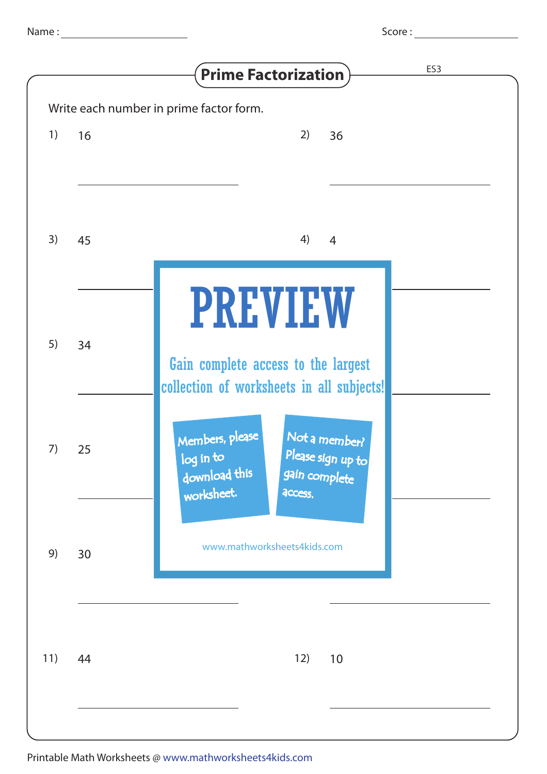|     |    | ES <sub>3</sub><br><b>Prime Factorization</b>                                                                                 |
|-----|----|-------------------------------------------------------------------------------------------------------------------------------|
|     |    | Write each number in prime factor form.                                                                                       |
| 1)  | 16 | 2)<br>36                                                                                                                      |
| 3)  | 45 | 4)<br>$\overline{4}$                                                                                                          |
| 5)  | 34 | <b>PREVIEW</b><br>Gain complete access to the largest<br>collection of worksheets in all subjects!                            |
|     | 25 | Members, please<br>Not a member?<br>Please sign up to<br>log in to<br>download this<br>gain complete<br>worksheet.<br>access. |
| 9)  | 30 | www.mathworksheets4kids.com                                                                                                   |
| 11) | 44 | 12)<br>10                                                                                                                     |